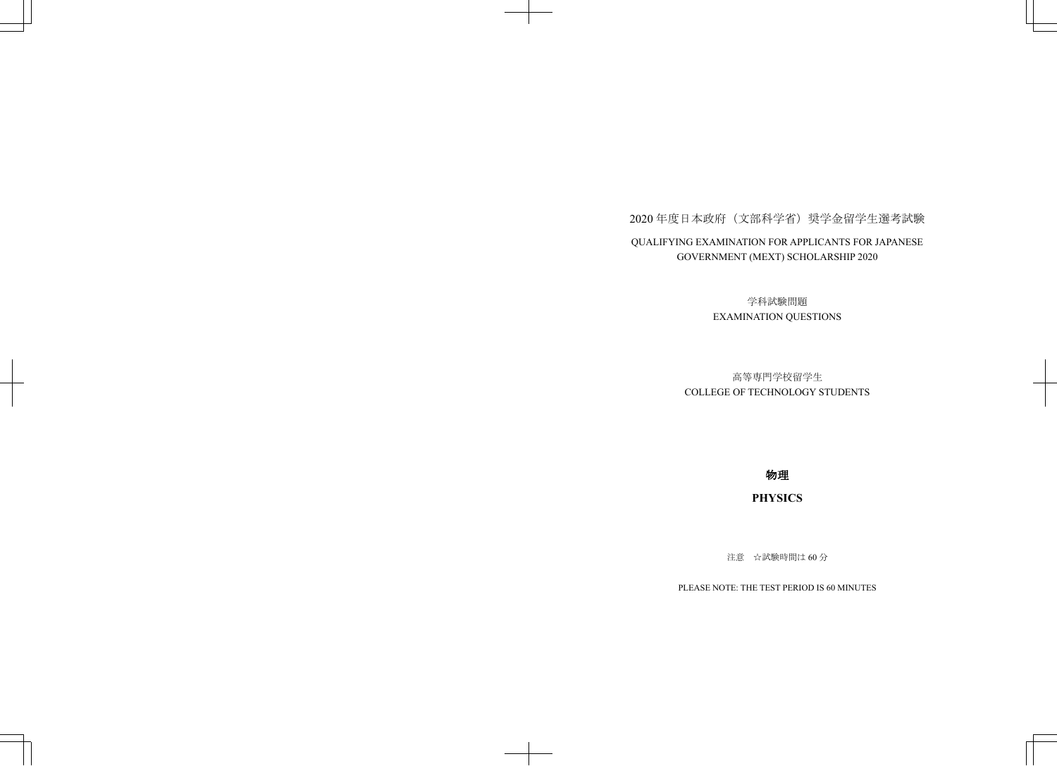## 2020年度日本政府(文部科学省)奨学金留学生選考試験 QUALIFYING EXAMINATION FOR APPLICANTS FOR JAPANESE GOVERNMENT (MEXT) SCHOLARSHIP 2020

学科試験問題 EXAMINATION QUESTIONS

## 高等専門学校留学生 COLLEGE OF TECHNOLOGY STUDENTS

物理

## **PHYSICS**

注意 ☆試験時間は60分

PLEASE NOTE: THE TEST PERIOD IS 60 MINUTES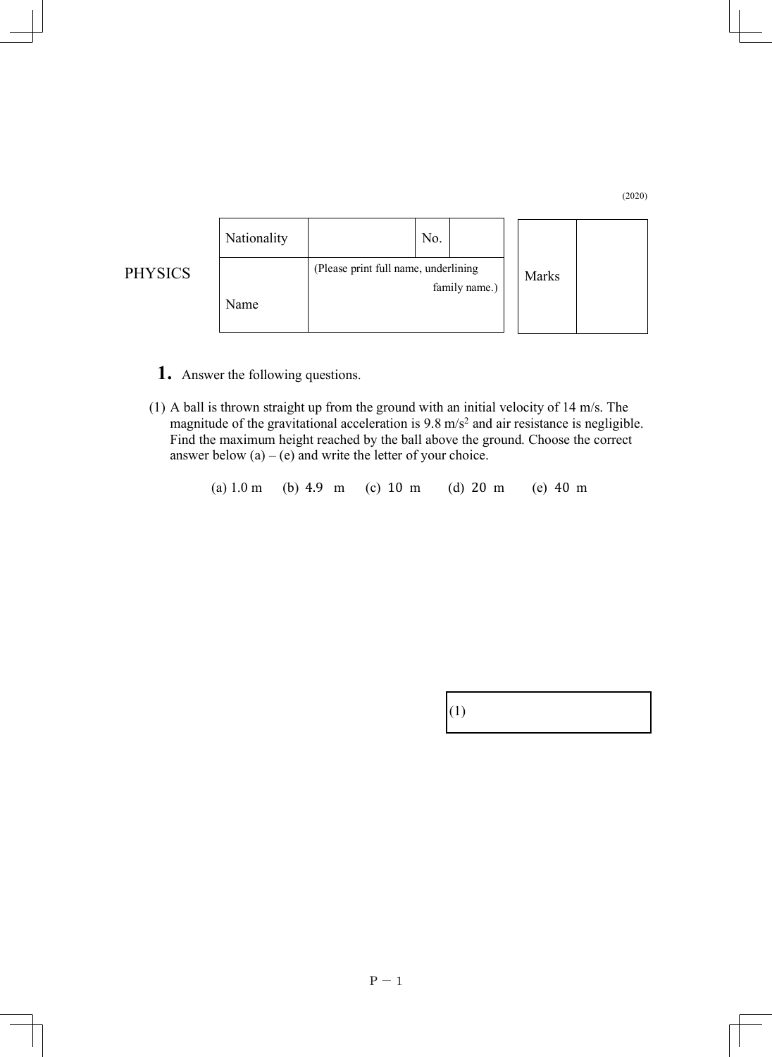## (2020)



**1.** Answer the following questions.

PHYSICS

- (1) A ball is thrown straight up from the ground with an initial velocity of 14 m/s. The magnitude of the gravitational acceleration is 9.8 m/s<sup>2</sup> and air resistance is negligible. Find the maximum height reached by the ball above the ground. Choose the correct answer below  $(a) - (e)$  and write the letter of your choice.
	- (a) 1.0 m (b) 4.9 m (c) 10 m (d) 20 m (e) 40 m

|--|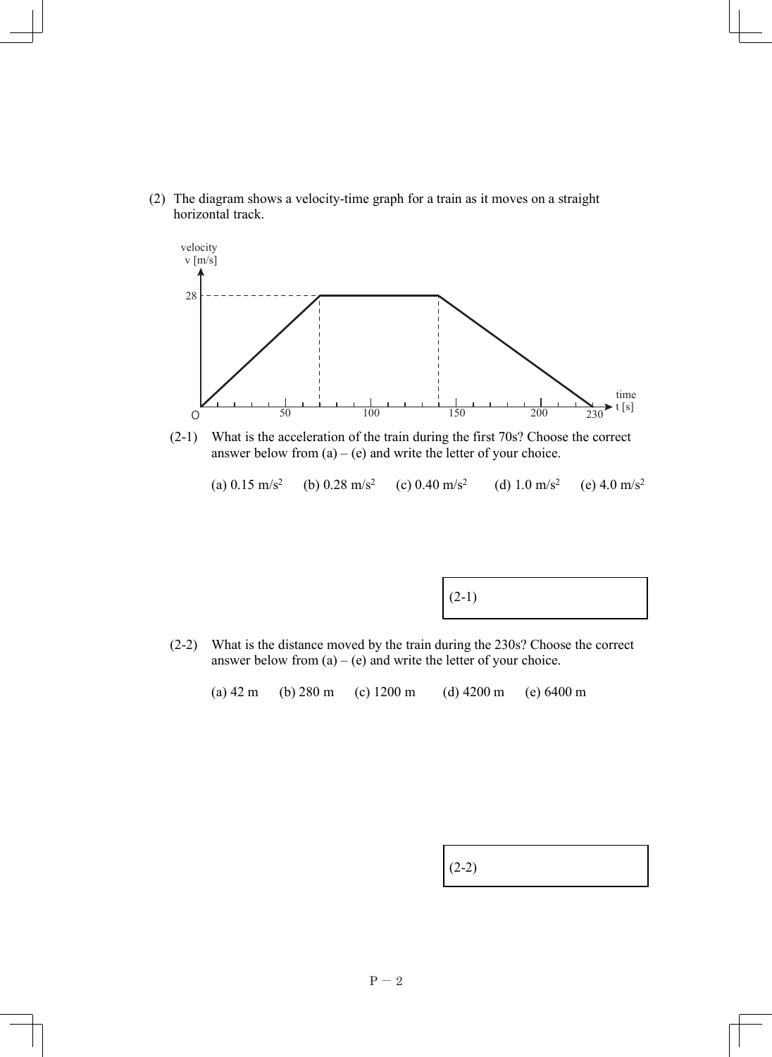(2) The diagram shows a velocity-time graph for a train as it moves on a straight horizontal track.



(2-1) What is the acceleration of the train during the first 70s? Choose the correct answer below from  $(a) - (e)$  and write the letter of your choice.

(a)  $0.15 \text{ m/s}^2$ (b)  $0.28 \text{ m/s}^2$ (c) 0.40 m/s<sup>2</sup> (d) 1.0 m/s<sup>2</sup> (e)  $4.0 \text{ m/s}^2$ 

(2-2) What is the distance moved by the train during the 230s? Choose the correct answer below from  $(a) - (e)$  and write the letter of your choice.

(a) 42 m (b) 280 m (c) 1200 m (d) 4200 m (e) 6400 m

| $(2-2)$ |
|---------|
|---------|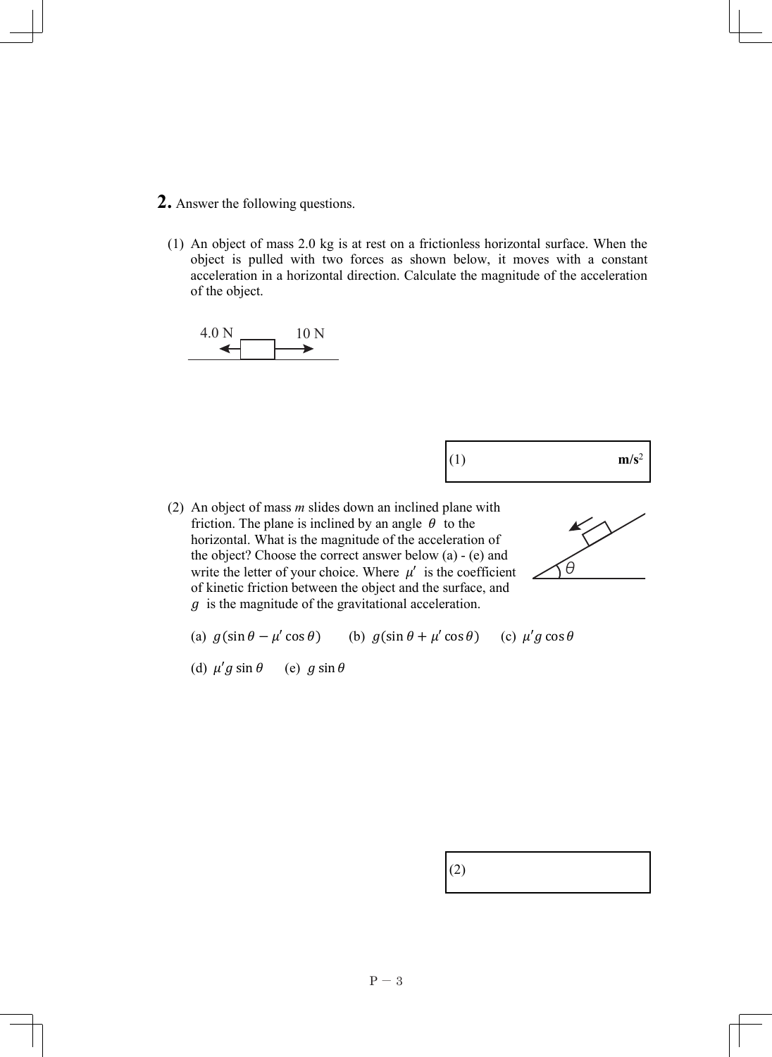- **2.** Answer the following questions.
	- (1) An object of mass 2.0 kg is at rest on a frictionless horizontal surface. When the object is pulled with two forces as shown below, it moves with a constant acceleration in a horizontal direction. Calculate the magnitude of the acceleration of the object.





(2) An object of mass *m* slides down an inclined plane with friction. The plane is inclined by an angle  $\theta$  to the horizontal. What is the magnitude of the acceleration of the object? Choose the correct answer below (a) - (e) and write the letter of your choice. Where  $\mu'$  is the coefficient of kinetic friction between the object and the surface, and  $q$  is the magnitude of the gravitational acceleration.



- (a)  $g(\sin \theta \mu' \cos \theta)$  (b)  $g(\sin \theta + \mu' \cos \theta)$  (c)  $\mu' g \cos \theta$
- (d)  $\mu' g \sin \theta$  (e)  $g \sin \theta$

|  | (2)<br>═ |
|--|----------|
|--|----------|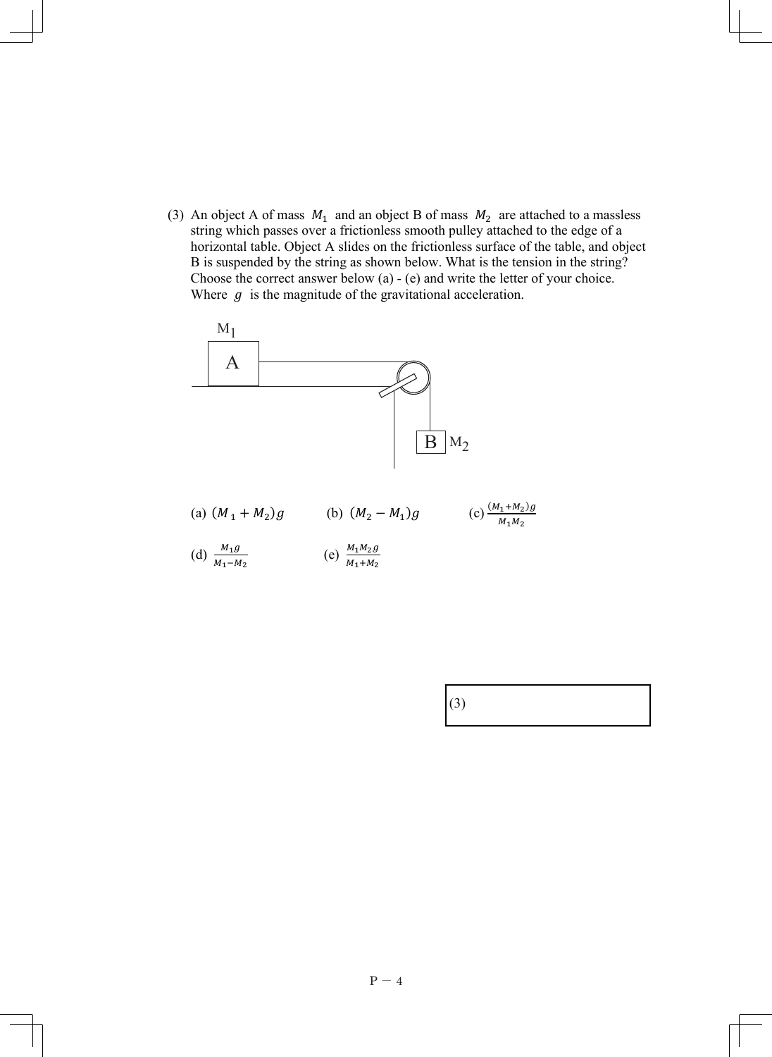(3) An object A of mass  $M_1$  and an object B of mass  $M_2$  are attached to a massless string which passes over a frictionless smooth pulley attached to the edge of a horizontal table. Object A slides on the frictionless surface of the table, and object B is suspended by the string as shown below. What is the tension in the string? Choose the correct answer below (a) - (e) and write the letter of your choice. Where  $q$  is the magnitude of the gravitational acceleration.

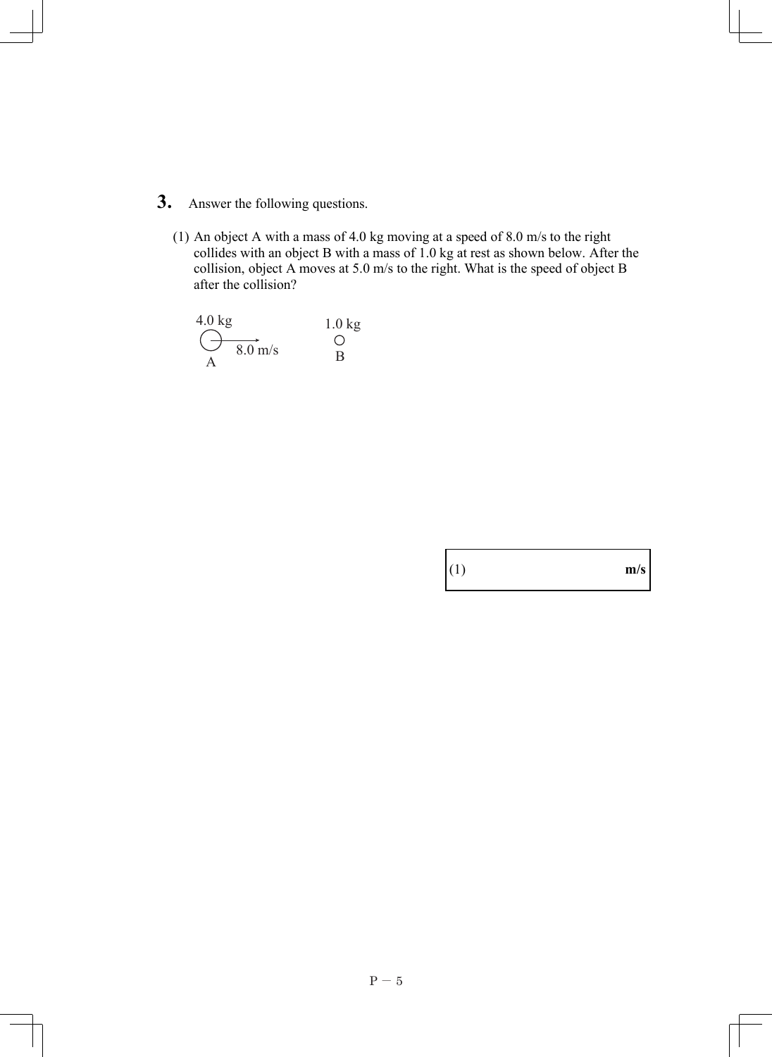- **3.** Answer the following questions.
	- (1) An object A with a mass of 4.0 kg moving at a speed of 8.0 m/s to the right collides with an object B with a mass of 1.0 kg at rest as shown below. After the collision, object A moves at 5.0 m/s to the right. What is the speed of object B after the collision?

$$
\begin{array}{ccc}\n4.0 \text{ kg} & 1.0 \text{ kg} \\
\hline\n& 8.0 \text{ m/s} & 0 \\
A & B\n\end{array}
$$

| (1)<br>m/s |  |
|------------|--|
|            |  |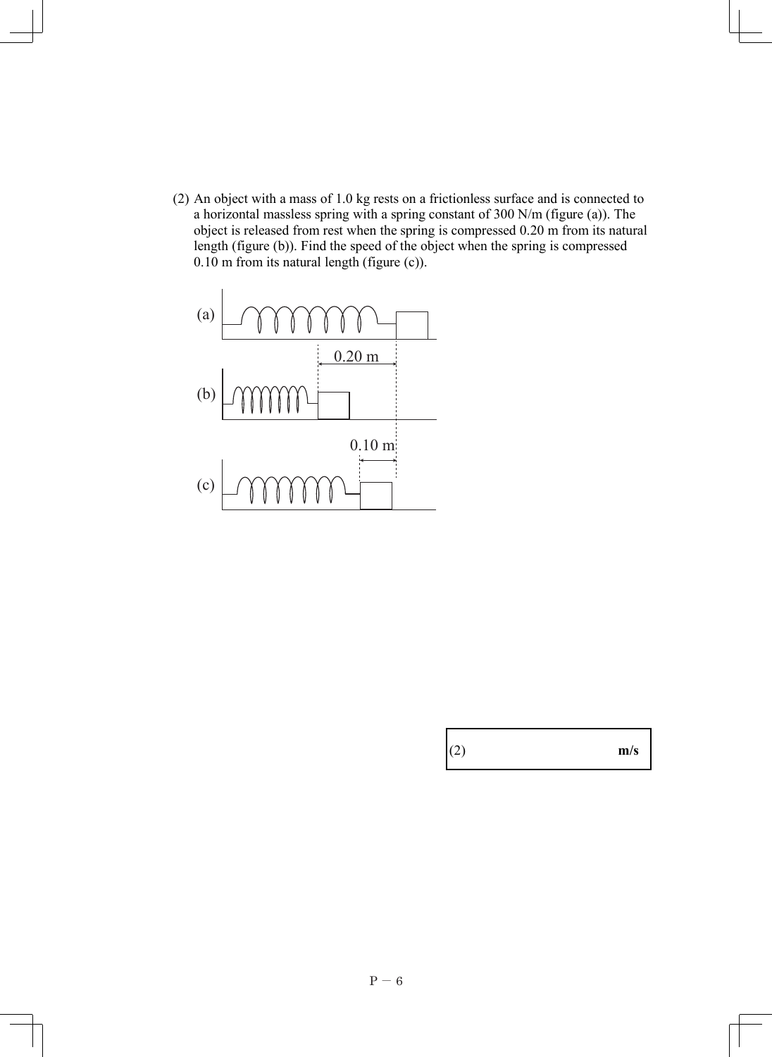(2) An object with a mass of 1.0 kg rests on a frictionless surface and is connected to a horizontal massless spring with a spring constant of 300 N/m (figure (a)). The object is released from rest when the spring is compressed 0.20 m from its natural length (figure (b)). Find the speed of the object when the spring is compressed 0.10 m from its natural length (figure (c)).

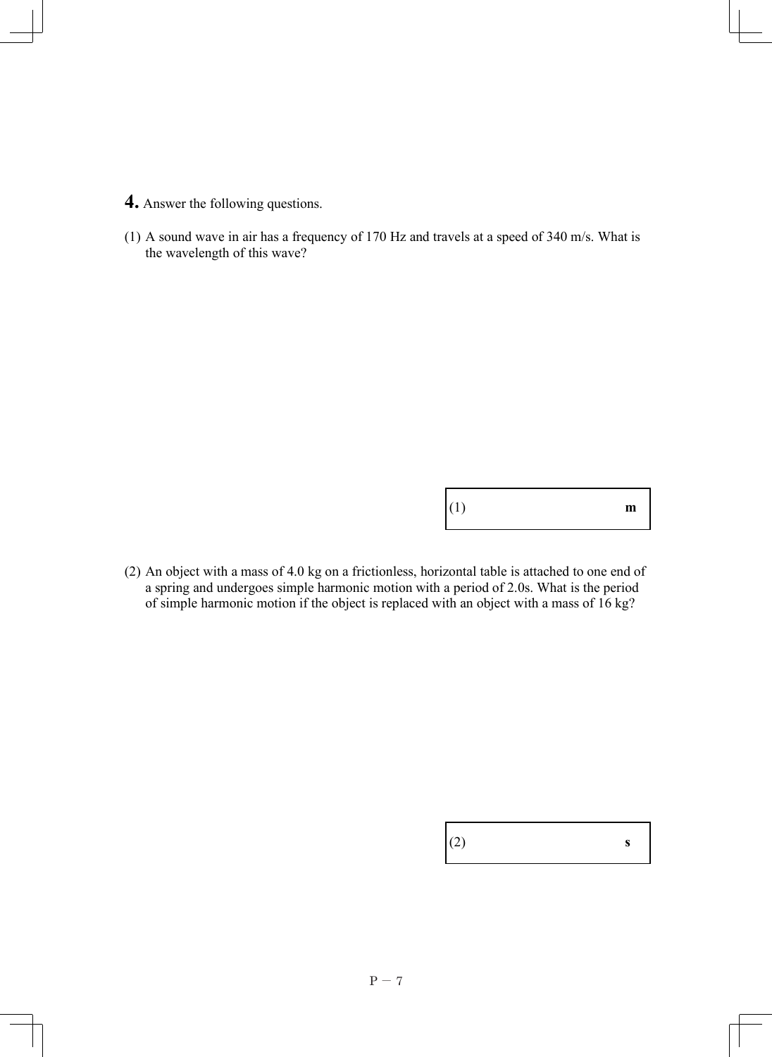- **4.** Answer the following questions.
- (1) A sound wave in air has a frequency of 170 Hz and travels at a speed of 340 m/s. What is the wavelength of this wave?

|  | (1)<br>$\mathbf{m}$ |
|--|---------------------|
|--|---------------------|

(2) An object with a mass of 4.0 kg on a frictionless, horizontal table is attached to one end of a spring and undergoes simple harmonic motion with a period of 2.0s. What is the period of simple harmonic motion if the object is replaced with an object with a mass of 16 kg?

| (2) | S |
|-----|---|
|     |   |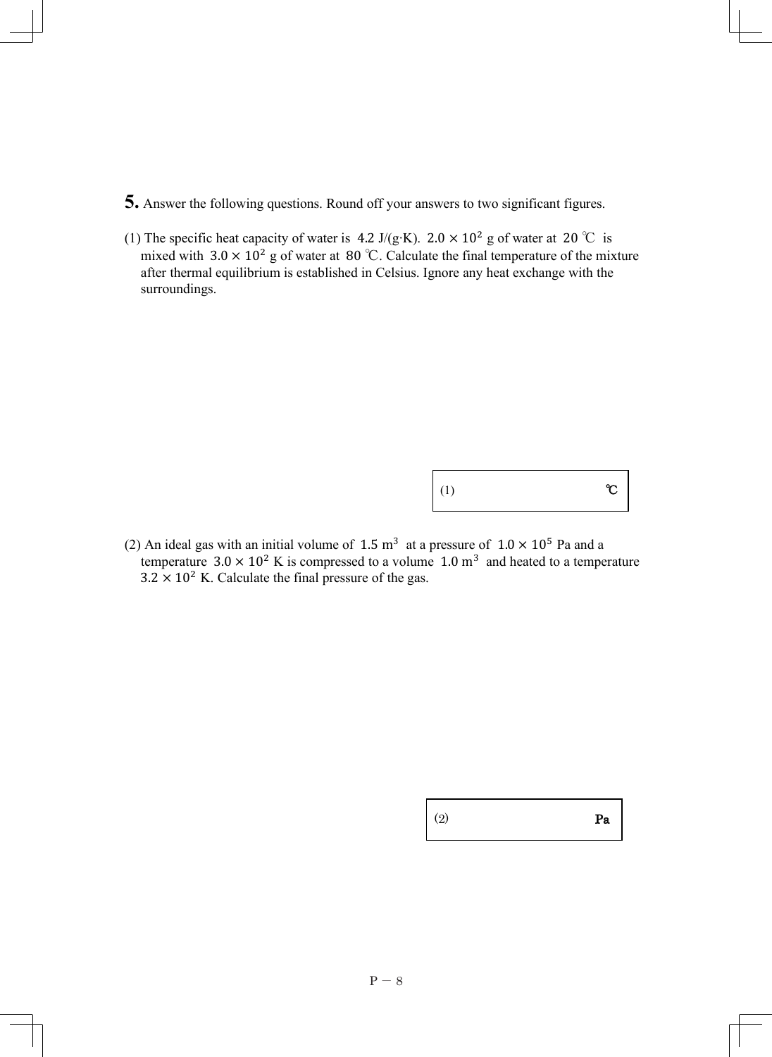- **5.** Answer the following questions. Round off your answers to two significant figures.
- (1) The specific heat capacity of water is 4.2 J/(g·K).  $2.0 \times 10^2$  g of water at 20 °C is mixed with  $3.0 \times 10^2$  g of water at 80 °C. Calculate the final temperature of the mixture after thermal equilibrium is established in Celsius. Ignore any heat exchange with the surroundings.

| $\Bigg(1\Bigg)$ | $\mathcal{C}$ |
|-----------------|---------------|
|-----------------|---------------|

(2) An ideal gas with an initial volume of 1.5 m<sup>3</sup> at a pressure of  $1.0 \times 10^5$  Pa and a temperature  $3.0 \times 10^2$  K is compressed to a volume 1.0 m<sup>3</sup> and heated to a temperature  $3.2 \times 10^2$  K. Calculate the final pressure of the gas.

 $(2)$  Pa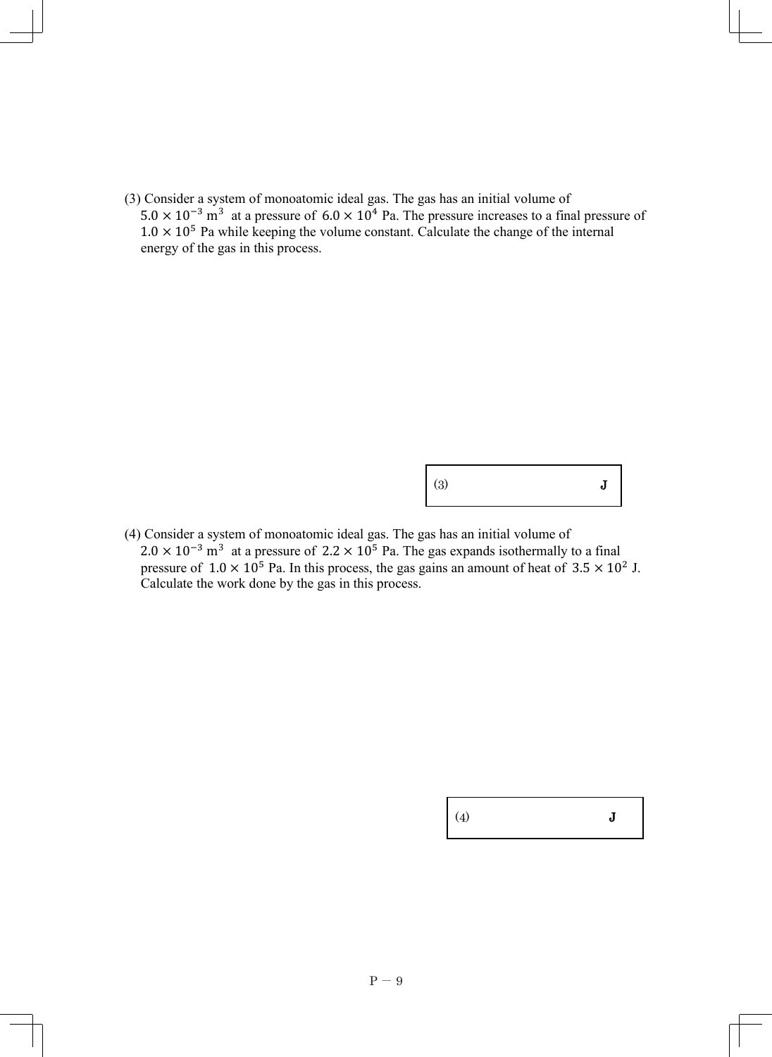(3) Consider a system of monoatomic ideal gas. The gas has an initial volume of  $5.0 \times 10^{-3}$  m<sup>3</sup> at a pressure of  $6.0 \times 10^{4}$  Pa. The pressure increases to a final pressure of  $1.0 \times 10^5$  Pa while keeping the volume constant. Calculate the change of the internal energy of the gas in this process.

(3) J

(4) Consider a system of monoatomic ideal gas. The gas has an initial volume of  $2.0 \times 10^{-3}$  m<sup>3</sup> at a pressure of 2.2  $\times$  10<sup>5</sup> Pa. The gas expands isothermally to a final pressure of  $1.0 \times 10^5$  Pa. In this process, the gas gains an amount of heat of  $3.5 \times 10^2$  J. Calculate the work done by the gas in this process.

(4) J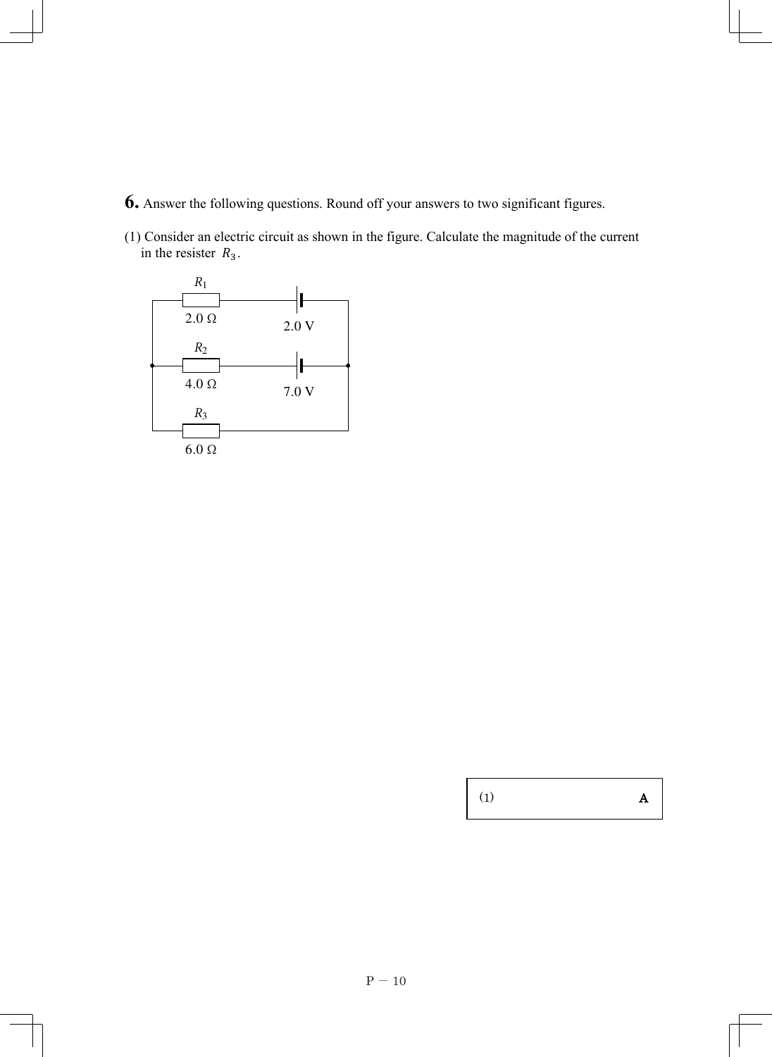- **6.** Answer the following questions. Round off your answers to two significant figures.
- (1) Consider an electric circuit as shown in the figure. Calculate the magnitude of the current in the resister  $R_3$ .



(1) A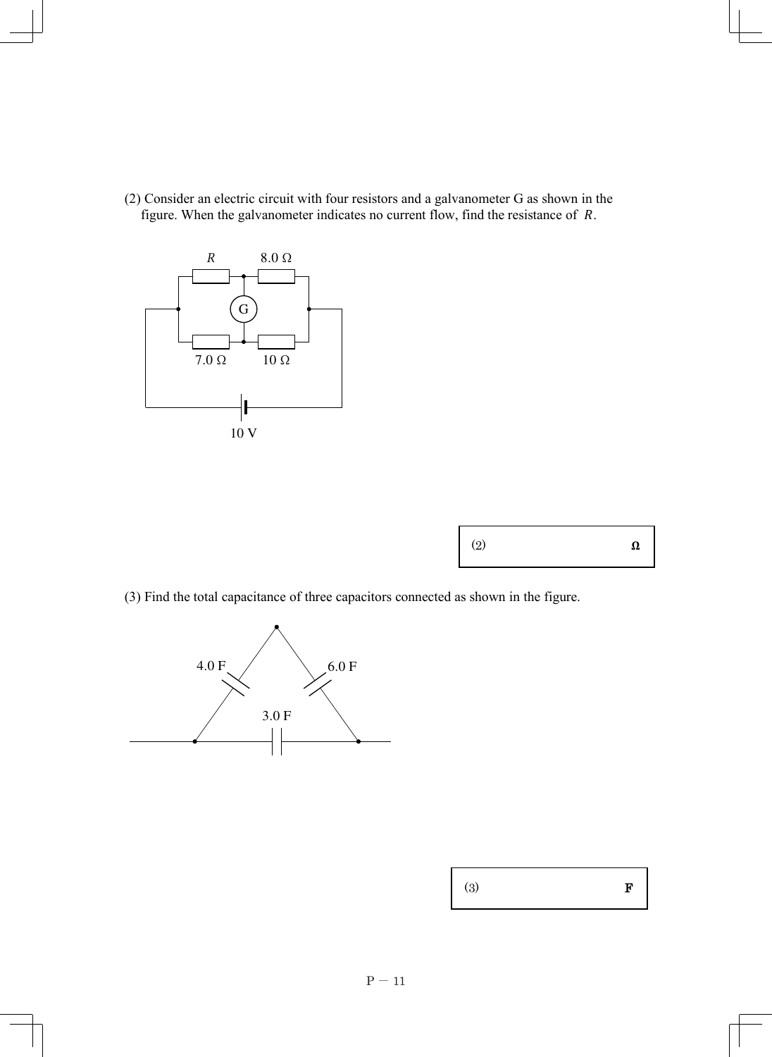(2) Consider an electric circuit with four resistors and a galvanometer G as shown in the figure. When the galvanometer indicates no current flow, find the resistance of  $R$ .



| (2) | Ω |
|-----|---|
|-----|---|

(3) Find the total capacitance of three capacitors connected as shown in the figure.



| (3) |  | F |
|-----|--|---|
|     |  |   |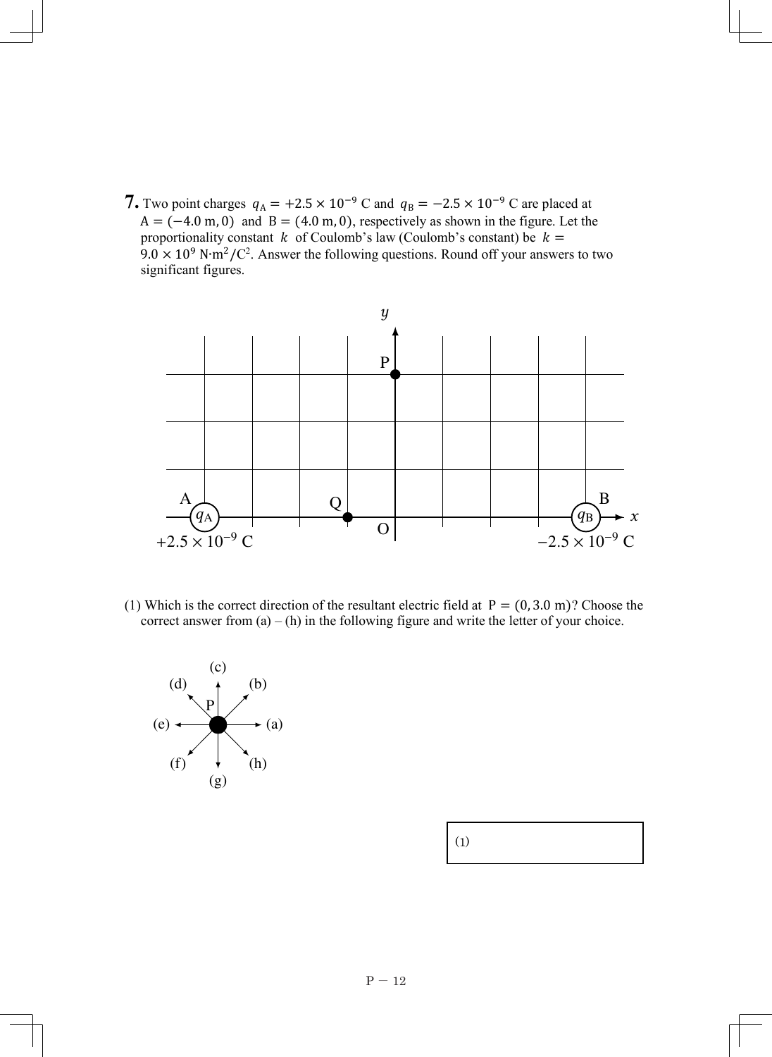**7.** Two point charges  $q_A = +2.5 \times 10^{-9}$  C and  $q_B = -2.5 \times 10^{-9}$  C are placed at  $A = (-4.0 \text{ m}, 0)$  and  $B = (4.0 \text{ m}, 0)$ , respectively as shown in the figure. Let the proportionality constant k of Coulomb's law (Coulomb's constant) be  $k =$  $9.0 \times 10^9$  N⋅m<sup>2</sup>/C<sup>2</sup>. Answer the following questions. Round off your answers to two significant figures.



(1) Which is the correct direction of the resultant electric field at  $P = (0, 3.0 \text{ m})$ ? Choose the correct answer from  $(a) - (h)$  in the following figure and write the letter of your choice.



| (1) |  |
|-----|--|
|-----|--|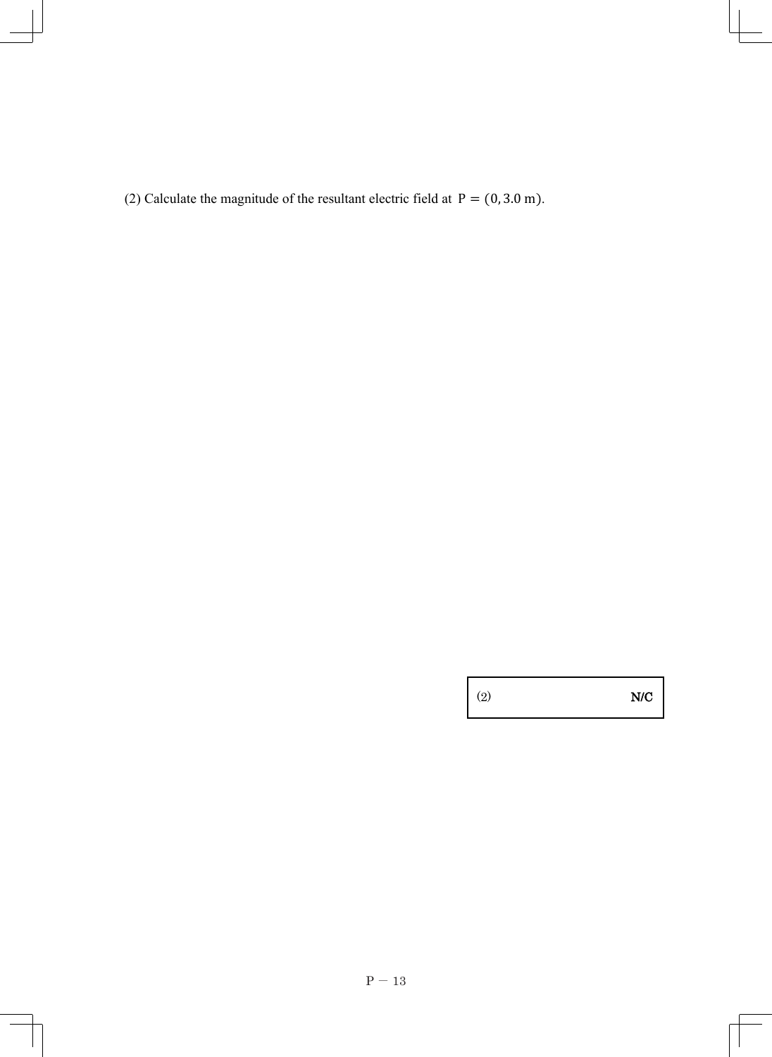(2) Calculate the magnitude of the resultant electric field at  $P = (0, 3.0 \text{ m})$ .